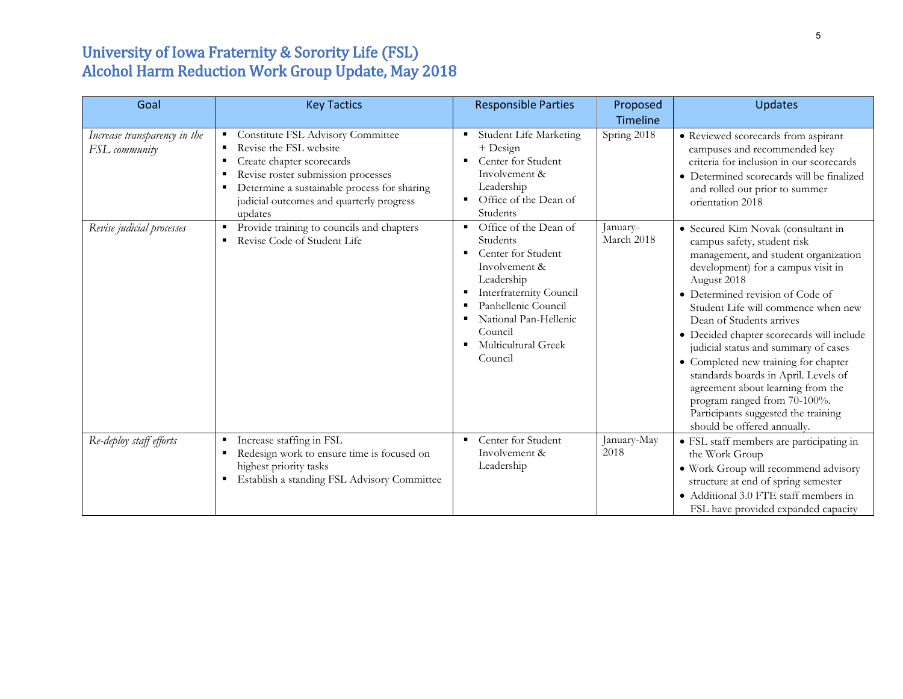## University of Iowa Fraternity & Sorority Life (FSL) Alcohol Harm Reduction Work Group Update, May 2018

| Goal                                          | <b>Key Tactics</b>                                                                                                                                                                                                                                       | <b>Responsible Parties</b>                                                                                                                                                                                                                                        | Proposed<br>Timeline   | <b>Updates</b>                                                                                                                                                                                                                                                                                                                                                                                                                                                                                                                                                                        |
|-----------------------------------------------|----------------------------------------------------------------------------------------------------------------------------------------------------------------------------------------------------------------------------------------------------------|-------------------------------------------------------------------------------------------------------------------------------------------------------------------------------------------------------------------------------------------------------------------|------------------------|---------------------------------------------------------------------------------------------------------------------------------------------------------------------------------------------------------------------------------------------------------------------------------------------------------------------------------------------------------------------------------------------------------------------------------------------------------------------------------------------------------------------------------------------------------------------------------------|
| Increase transparency in the<br>FSL community | Constitute FSL Advisory Committee<br>٠<br>Revise the FSL website<br>Create chapter scorecards<br>٠<br>Revise roster submission processes<br>в<br>Determine a sustainable process for sharing<br>٠<br>judicial outcomes and quarterly progress<br>updates | Student Life Marketing<br>٠<br>+ Design<br>Center for Student<br>٠<br>Involvement &<br>Leadership<br>Office of the Dean of<br>$\blacksquare$<br>Students                                                                                                          | Spring 2018            | • Reviewed scorecards from aspirant<br>campuses and recommended key<br>criteria for inclusion in our scorecards<br>• Determined scorecards will be finalized<br>and rolled out prior to summer<br>orientation 2018                                                                                                                                                                                                                                                                                                                                                                    |
| Revise judicial processes                     | Provide training to councils and chapters<br>٠<br>Revise Code of Student Life<br>п                                                                                                                                                                       | Office of the Dean of<br>$\blacksquare$<br>Students<br>Center for Student<br>٠<br>Involvement &<br>Leadership<br>Interfraternity Council<br>п<br>Panhellenic Council<br>National Pan-Hellenic<br>٠<br>Council<br>Multicultural Greek<br>$\blacksquare$<br>Council | January-<br>March 2018 | • Secured Kim Novak (consultant in<br>campus safety, student risk<br>management, and student organization<br>development) for a campus visit in<br>August 2018<br>• Determined revision of Code of<br>Student Life will commence when new<br>Dean of Students arrives<br>• Decided chapter scorecards will include<br>judicial status and summary of cases<br>• Completed new training for chapter<br>standards boards in April. Levels of<br>agreement about learning from the<br>program ranged from 70-100%.<br>Participants suggested the training<br>should be offered annually. |
| Re-deploy staff efforts                       | Increase staffing in FSL<br>п<br>Redesign work to ensure time is focused on<br>п<br>highest priority tasks<br>Establish a standing FSL Advisory Committee<br>٠                                                                                           | Center for Student<br>٠<br>Involvement &<br>Leadership                                                                                                                                                                                                            | January-May<br>2018    | • FSL staff members are participating in<br>the Work Group<br>· Work Group will recommend advisory<br>structure at end of spring semester<br>• Additional 3.0 FTE staff members in<br>FSL have provided expanded capacity                                                                                                                                                                                                                                                                                                                                                             |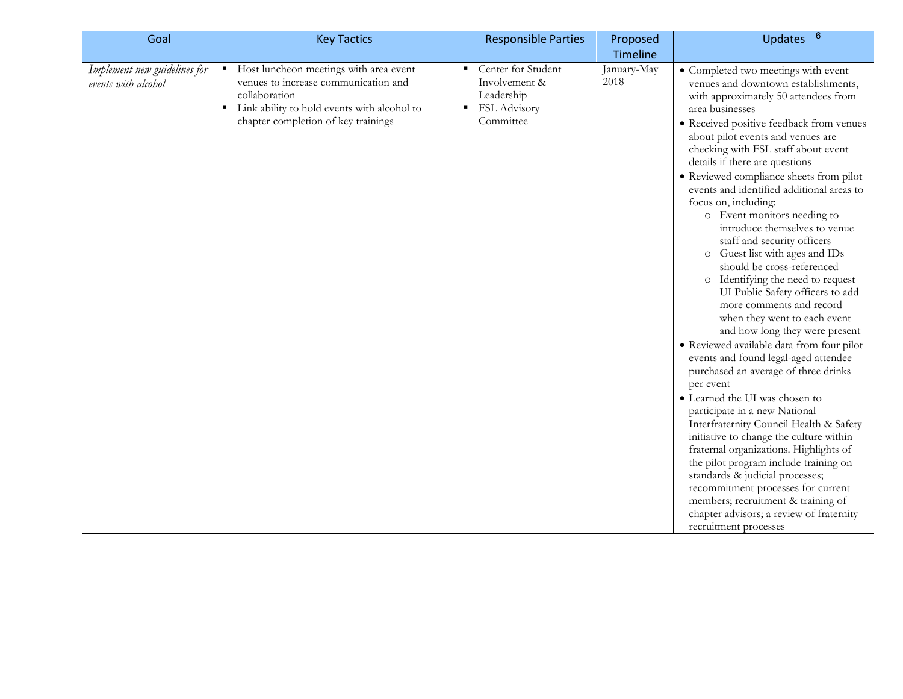| Goal                                                | <b>Key Tactics</b>                                                                                                                                                                         | <b>Responsible Parties</b>                                                               | Proposed            | Updates 6                                                                                                                                                                                                                                                                                                                                                                                                                                                                                                                                                                                                                                                                                                                                                                                                                                                                                                                                                                                                                                                                                                                                                                                                                                                                                                                       |
|-----------------------------------------------------|--------------------------------------------------------------------------------------------------------------------------------------------------------------------------------------------|------------------------------------------------------------------------------------------|---------------------|---------------------------------------------------------------------------------------------------------------------------------------------------------------------------------------------------------------------------------------------------------------------------------------------------------------------------------------------------------------------------------------------------------------------------------------------------------------------------------------------------------------------------------------------------------------------------------------------------------------------------------------------------------------------------------------------------------------------------------------------------------------------------------------------------------------------------------------------------------------------------------------------------------------------------------------------------------------------------------------------------------------------------------------------------------------------------------------------------------------------------------------------------------------------------------------------------------------------------------------------------------------------------------------------------------------------------------|
|                                                     |                                                                                                                                                                                            |                                                                                          | Timeline            |                                                                                                                                                                                                                                                                                                                                                                                                                                                                                                                                                                                                                                                                                                                                                                                                                                                                                                                                                                                                                                                                                                                                                                                                                                                                                                                                 |
| Implement new guidelines for<br>events with alcohol | Host luncheon meetings with area event<br>venues to increase communication and<br>collaboration<br>Link ability to hold events with alcohol to<br>٠<br>chapter completion of key trainings | Center for Student<br>٠<br>Involvement &<br>Leadership<br>FSL Advisory<br>٠<br>Committee | January-May<br>2018 | • Completed two meetings with event<br>venues and downtown establishments,<br>with approximately 50 attendees from<br>area businesses<br>• Received positive feedback from venues<br>about pilot events and venues are<br>checking with FSL staff about event<br>details if there are questions<br>• Reviewed compliance sheets from pilot<br>events and identified additional areas to<br>focus on, including:<br>o Event monitors needing to<br>introduce themselves to venue<br>staff and security officers<br>o Guest list with ages and IDs<br>should be cross-referenced<br>o Identifying the need to request<br>UI Public Safety officers to add<br>more comments and record<br>when they went to each event<br>and how long they were present<br>• Reviewed available data from four pilot<br>events and found legal-aged attendee<br>purchased an average of three drinks<br>per event<br>• Learned the UI was chosen to<br>participate in a new National<br>Interfraternity Council Health & Safety<br>initiative to change the culture within<br>fraternal organizations. Highlights of<br>the pilot program include training on<br>standards & judicial processes;<br>recommitment processes for current<br>members; recruitment & training of<br>chapter advisors; a review of fraternity<br>recruitment processes |